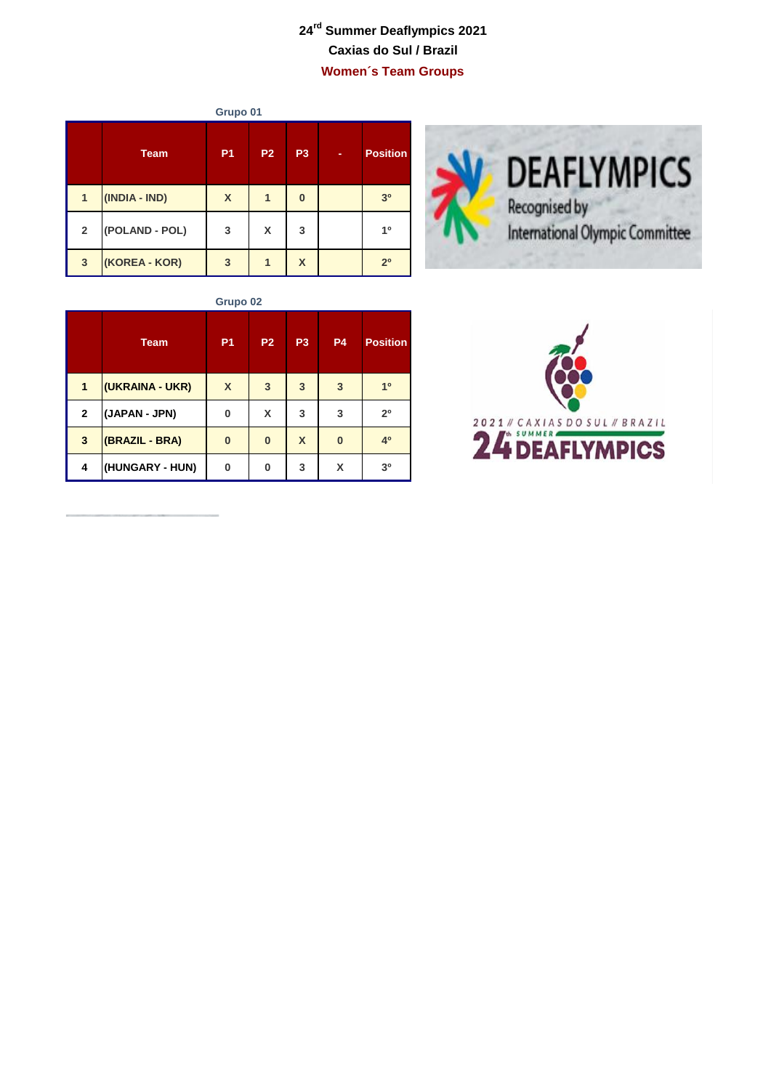## **24rd Summer Deaflympics 2021 Caxias do Sul / Brazil Women´s Team Groups**

| Grupo 01       |                |                |           |                           |   |                 |  |  |
|----------------|----------------|----------------|-----------|---------------------------|---|-----------------|--|--|
|                | <b>Team</b>    | P <sub>1</sub> | <b>P2</b> | P <sub>3</sub>            | ٠ | <b>Position</b> |  |  |
| 1              | (INDIA - IND)  | X              | 1         | $\bf{0}$                  |   | 3 <sup>0</sup>  |  |  |
| $\overline{2}$ | (POLAND - POL) | 3              | X         | 3                         |   | 10              |  |  |
| 3              | (KOREA - KOR)  | 3              |           | $\boldsymbol{\mathsf{x}}$ |   | 2 <sup>0</sup>  |  |  |





**Grupo 02**

|              | <b>Team</b>     | P <sub>1</sub> | P <sub>2</sub> | P <sub>3</sub>   | <b>P4</b> | <b>Position</b> |
|--------------|-----------------|----------------|----------------|------------------|-----------|-----------------|
| 1            | (UKRAINA - UKR) | X              | 3              | $\overline{3}$   | 3         | 1 <sup>0</sup>  |
| $\mathbf{2}$ | (JAPAN - JPN)   | 0              | X              | 3                | 3         | 2 <sup>0</sup>  |
| 3            | (BRAZIL - BRA)  | $\bf{0}$       | $\bf{0}$       | $\boldsymbol{X}$ | $\bf{0}$  | 4 <sup>0</sup>  |
| 4            | (HUNGARY - HUN) | 0              | 0              | 3                | X         | 3 <sup>0</sup>  |